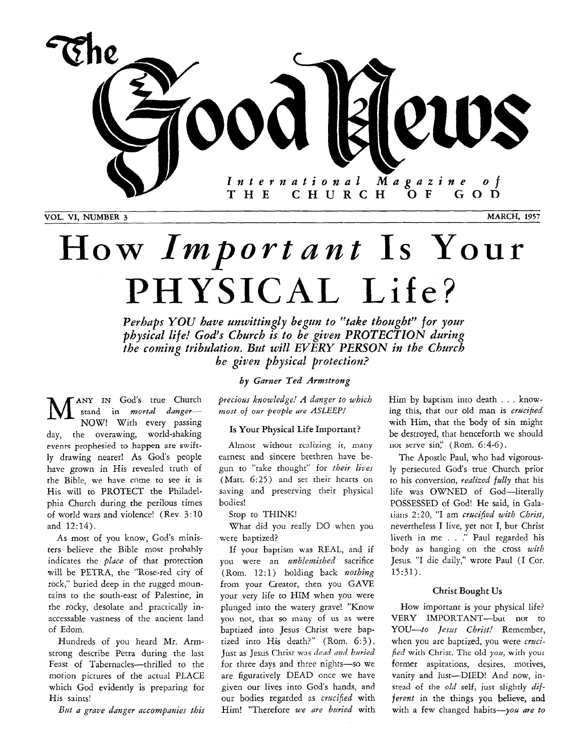

# How *Important* **Is** Your **PHYSICAL Life?**

*Perhaps YOU have unwittingly begun to "take thoughf' for your Physical life! God's Church is to be given PROTECTION during the coming tribulation. But will EVERY PERSON in the Church be given physical protection?* 

**ANY** IN God's true Church stand in *mortdl danger-*NOW! With every passing day, the overawing, world-shaking events prophesied to happen are swiftly drawing nearer! As God's people have grown in His revealed truth of the Bible, we have come to see it is His will to PROTECT the Philadelphia Church during the perilous times of world wars and violence! (Rev. 3:10 and 12:14).  $\mathbf{M}^{\scriptscriptstyle{\mathrm{an}}}_{\scriptscriptstyle{[\mathfrak{a}]}}$ 

As most of you know, God's ministers believe the Bible most probably indicates the *place* of that protection will be PETRA, the "Rose-red city of rock," buried deep in the rugged mountains to the south-east of Palestine, in the rocky, desolate and practically inaccessable vastness of the ancient land of Edom.

Hundreds of you heard Mr. Armstrong describe Petra during the last Feast of Tabernacles---thrilled to the motion pictures of the actual PLACE which God evidently is preparing for His saints!

*Bat a grave danger accompanies this* 

*by Garner Ted Armstrong* 

*precious knowledge! A danger to which most of our people ure ASLEEP!* 

#### Is Your Physical Life Important?

Almost without realizing it, many earnest and sincere brethren have begun to "take thought" for *their lives*  (Matt. *6:25)* and set their hearts on saving and preserving their physical bodies!

Stop to THINK!

What did you really DO when you were baptized?

If your baptism was REAL, and if you were an *unblemished* sacrifice (Rom. 12:1) holding back *nothing* from your Creator, then you GAVE your very life to HIM when you were plunged into the watery grave! "Know you not, that so many of us as were baptized into Jesus Christ were baptized into His death?" (Rom. 6:3). Just as Jesus Christ was *dead and buried* for three days and three nights-so we are figuratively DEAD once we have given our lives into God's hands, and our bodies regarded as *crucified* with Him! "Therefore *we me buried* with Him by baptism into death . . . knowing this, that our old man is *crucified*  with Him, that the body of sin might be destroyed, that henceforth we should not serve sin:' (Rom. *6:4-6).* 

The Apostle Paul, who had vigorously persecuted God's true Church prior *to* his conversion, *realized fully* that his life was OWNED of God-literally POSSESSED of God! He said, in Galatians *2:20,* "I am *crucified with Christ,*  nevertheless I live, yet not I, but Christ liveth in me . . ." Paul regarded his body **as** hanging an the cross *with*  Jesus. "I die daily," wrote Paul (I Cor. 15:31).

#### Christ Bought Us

How important is your physical life? *YOU-to Jesus Christ!* Remember, when you are baptized, you were *crucibed* with Christ. The old you, with your former aspirations, desires, motives, vanity and lust-DIED! And now, instead of the *old* self, just slightly dif*ferent* in the things you believe, and with a few changed habits-*you are to* VERY IMPORTANT-but not to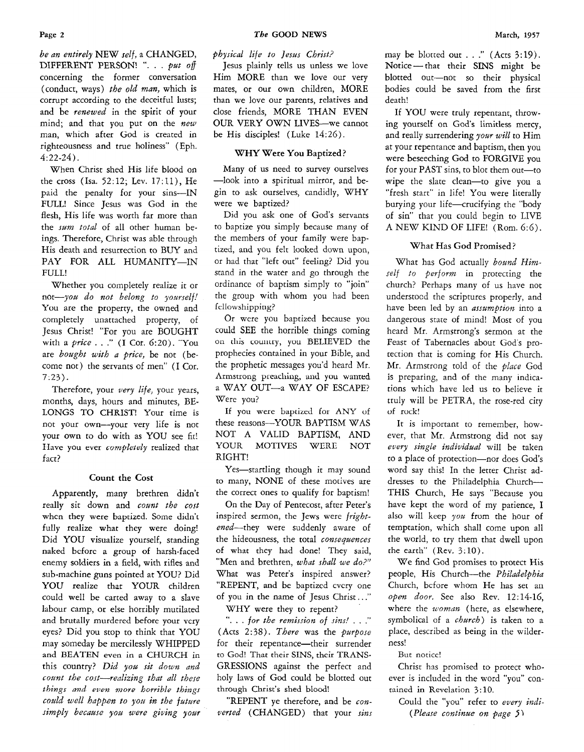*be an entirely* NEW self, a CHANGED, DIFFERENT PERSON! ". . . *pat of*  concerning the former conversation (conduct, ways) *the old man,* which is corrupt according to the deceitful lusts; and be *renewed* in the spirit of your mind; and that you put on the *new*  man, which after God is created in righteousness and true holiness" (Eph. *4:22-24).* 

When Christ shed His life blood on the cross (Isa. *52:12;* Lev. 17:11), He paid the penalty for your sins-IN FULL! Since Jesus was God in the flesh, His life was worth far more than the *sum total* of all other human beings. Therefore, Christ was able through His death and resurrection to BUY and PAY FOR ALL HUMANITY-IN FULL!

Whether you completely realize it or *not-you* do *not belong to yozrself!*  You are the property, the owned and completely unattached property, of Jesus Christ! "For you are BOUGHT with a *price* . . ." (I Cor. 6:20). "You are *bought with a price,* be not (become not) the servants of men" (I Cor. *7:23).* 

Therefore, your *very life,* your years, months, days, hours and minutes, BE-LONGS TO CHRIST! Your time is not your own-your very life is not your own to do with as YOU see fit! **I** Iave you ever *cumpletely* realized that fact?

#### Count the Cost

Apparently, many brethren didn't really sit down and *count the cost*  whcn they were baptized. Some didn't fully realize what they were doing! Did YOU visualize yourself, standing naked bcforc a group of harsh-faced enemy soldiers in a field, with rifles and sub-machine guns pointed at YOU? Did YOU realize that YOUR children could well be carted away to a slave labour camp, or else horribly mutilated and brutally murdered before your vcry eyes? Did you stop to think that YOU may someday be mercilessly WHIPPED and BEATEN even in **a** CHURCH in this country? *Did yozc sit* down *and count the cost-realizing that all these things and even more horrible things could well happen to yozc in the future*  simply because you were giving your *physical life to Jesus Christ?* 

Jesus plainly tells us unless we love Him MORE than we love our very mates, or our own children, MORE than we love our parents, relatives and close friends, MORE THAN EVEN OUR VERY OWN LIVES-we cannot be His disciples! (Luke 14:26).

### WHY Were You Baptized?

Many of us need to survey ourselves --look into a spiritual mirror, and begin to ask ourselves, candidly, WHY were we baptized?

Did you ask one of God's servants to baptize you simply because many of the members of your family were baptized, and you felt looked down upon, or had that "left out" feeling? Did you stand in the water and go through the ordinance of baptism simply to "join" the group with whom you had been fellowshipping?

Or were you baptized because you could SEE the horrible things coming on this country, you BELIEVED the prophecies contained in your Bible, and the prophetic messages you'd heard Mr. Armstrong preaching, and you wanted a WAY OUT-a WAY OF ESCAPE? Were you?

If you were baptized for ANY of these reasons-YOUR BAPTISM WAS NOT **A** VALID BAPTISM, AND YOUR MOTIVES WERE NOT RIGHT!

Yes-startling though it may sound to many, NONE of these motives are the correct ones to qualify for baptism!

On the Day of Pentecost, after Peter's inspired sermon, the Jews were *frigbt*ened--they were suddenly aware of the hideousness, the total *consequences*  of what they had done! They said, "Men and brethren, *what shall we do?"*  What was Peter's inspired answer? "REPENT, and be baptizcd cvcry one of you in the name of Jesus Christ.. ."

WHY were they to repent?

"... for the remission of sins!..." (Acts 2:38). *There* was the *purpose*  for their repentance-their surrender to God! That their SINS, their TRANS-GRESSIONS against the perfect and holy laws of God could be blotted out through Christ's shed blood!

"REPENT ye therefore, and be *converted* (CHANGED) that your *sins* 

may be blotted out . . ." (Acts *3:19).*  Notice - that their **SINS** might be blotted out-not so their physical bodies could be saved from the first death!

If YOU were truly repentant, throwing yourself on God's limitless mercy, and really surrendering *your will* to Him at your repentance and baptism, then you were beseeching God to FORGIVE you for your PAST sins, to blot them out-to wipe the slate clean-to give you a "fresh start" in life! You were literally burying your life-crucifying the "body of sin" that you could begin to LIVE A NEW KIND OF LIFE! (Rom. *6:6).* 

### What Has **God** Promised?

What has God actually *bound Himself to perform* in protecting the church? Perhaps many of us have not understocd the scriptures properly, and have been led by an *assumption* into a dangerous state of mind! Most of you heard Mr. Armstrong's sermon at the Feast of Tabernacles about God's protection that is coming for His Church. Mr. Armstrong told of the *place* God is preparing, and of the many indications which have led us to believe it truly will be PETRA, the rose-red city of ruck!

It is important to remember, however, that Mr. Armstrong did not say *every single individual* will be taken to a place of protection-nor does God's word say this! In the letter Christ ad**dresses** to the Philadelphia Church-THIS Church, He says "Because you have kept the word of my patience, I also will keep you from the hour of temptation, which shall come upon all the world, to try them that dwell upon the earth' (Rev. 3: 10).

We find God promises to protect His people, His Church-the *Philadelphia*  Church, bcfore whom He has set an *open door.* See also Rev. *12:14-16,*  where the *woman* (here, as elsewhere, symbolical of a *church*) is taken to a place, described as being in the wilderness!

But noticc!

Christ has promised to protect whoever is included in the word "you" contained in Revelation 3:lO.

Could the "you" refer to *every indi- (Please continue on page* **S**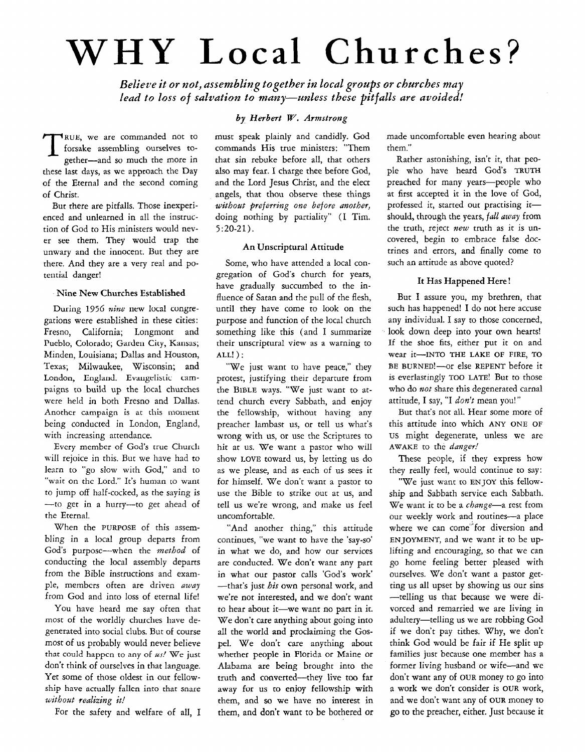# **WHY Local Churches?**

Believe it or not, assembling together in local groups or churches may *lend to loss* of *salvation to many-unless these pitfalls are avoided!* 

RUE, we are commanded not to forsake assembling ourselves to-<br>gether—and so much the more in forsake assembling ourselves together-and so much the more in these last days, as we approach the Day of the Eternal and the second coming of Christ.

But there are pitfalls. Those inexperienced and unlearned in all the instruction of God to His ministers would never *see* them. They would trap the unwary and the innocent. Bur they are there. And they are a very real and potential danger!

#### Nine New Churches Established

During *1956 nirw* **new** local cungregations were established in these cities: Fresno, California; Longmont and Pueblo, Colorado; Garden City, **Kansas;**  Minden, Louisiana; Dallas and Houston, Texas; Milwaukee, Wisconsin; and London, England. Evangelistic campaigns to build up the local churches were held in both Fresno and Dallas. Another campaign is at this moment being conducted in London, England, with increasing attendance.

Every member of God's true Church will rejoice in this. But we have had to learn to "go slow with God," and to "wait on the Lord." It's human to want to jump off half-cocked, as the saying is -to get in a hurry-to get ahead of the Eternal.

When the PURPOSE of this assembling in a local group departs from God's purposc-when the *method* of conducting the local assembly departs from the Bible instructions and example, members often are driven *uwuy*  from God and into loss of eternal life!

YOU have heard me say often that most of the worldly churches have degenerated into social clubs. But of course most of us probably would never believe that could happen to any of *m!* We just don't think of ourselves in that language. Yet some of those oldest in our fellowship have actually fallcn into that snare *without realizing it!* 

For the safety and welfare of all, I

# *by Herbert W. Armstrong*

must speak plainly and candidly. God commands His true ministers: "Them that sin rebuke before all, that others also may fear. I charge thee before God, and the Lord Jesus Christ, and the elect angels, that thou observe these things *without preferring one before another,*  doing nothing by partiality" (I Tim. 5:20-21).

#### **An** Unscriptural Attitude

Some, who have attended a local congregation of God's church for years, have gradually succumbed to the influence of Satan and the pull of the flesh, until they have come to **look** on the purpose and function of the local church something like this (and I summarize their unscriptural view as a warning to  $ALL!)$ :

"We just want to have peace," they protest, justifying their departure from the BIBLE ways. "We just want to attend church every Sabbath, and enjoy the fellowship, without having any preacher lambast us, or tell us what's wrong with **us,** or use the Scriptures to hit at us. We want a pastor who will show **LOVE** toward us, by letting us do as we please, and as each of **us** sees it for himself. We don't want a pastor to use the Bible to strike out at us, and tell us we're wrong, and make us feel uncomfortable.

"And another thing," this attitude continues, "we want to have the 'say-so' in what we do, and how our services are conducted. We don't want any part in what our pastor calls 'God's work' -that's just *his* own personal work, and we're not interested, and we don't want to hear about it-we want no part in it. We don't care anything about going into all the world and prodaiming the Gospel. We don't care anything about wherher people in Florida or Maine or Alabama are being brought into the truth and converted-they live too far away for us to enjoy fellowship with them, and *so* we have no interest in them, and don't want to be bothered or made uncomfortable even hearing about them."

Rather astonishing, isn't it, that people who have heard God's TRUTH preached for many years-people who at first accepted it in the love of God, professed it, started out practising itshould, through the years, *fall away* from the truth, reject *new* truth as it is uncovered, begin to embrace false doctrines and errors, and finally come to such an attitude as above quoted?

### **It** Has Happened Here !

But I assure you, my brethren, that such has happened! I do not here accuse any individual. I say to those concerned, look down deep into your **own** hearts! If the shoe fits, either put it on and wear it-INTO **THE** LAKE **OF FIRE, TO**  BE BURNED!-or else REPENT before it is everlastingly TOO LATE! Bur to those who do *not* share this degenerated carnal attitude, I say, "I *don't* mean you! "

But that's not all. Hear some more of this attitude into which ANY ONE OF us might degenerate, unless we are AWAKE to the *danger!* 

These people, if they express how they really feel, would continue to say:

"We just want to ENJOY this fellowship and Sabbath service each Sabbath. We want it to be a *change*-a rest from our weekly work and routines-a place where we can come for diversion and ENJOYMENT, and we want it to be uplifting and encouraging, so that we can go home feeling better pleased with ourselves. We don't want a pastor getting us all upset by showing us our sins -telling **us** that because we were divorced and remarried we are living in adultery-telling us we are robbing God if we don't pay tithes. Why, we don't think God would be fair if He split up families just because one member has a former living husband or wife-and we don't want any of OUR money to go into a work we don't consider is OUR work, and we don't want any of **OUR** money to go to the preacher, either. Just because it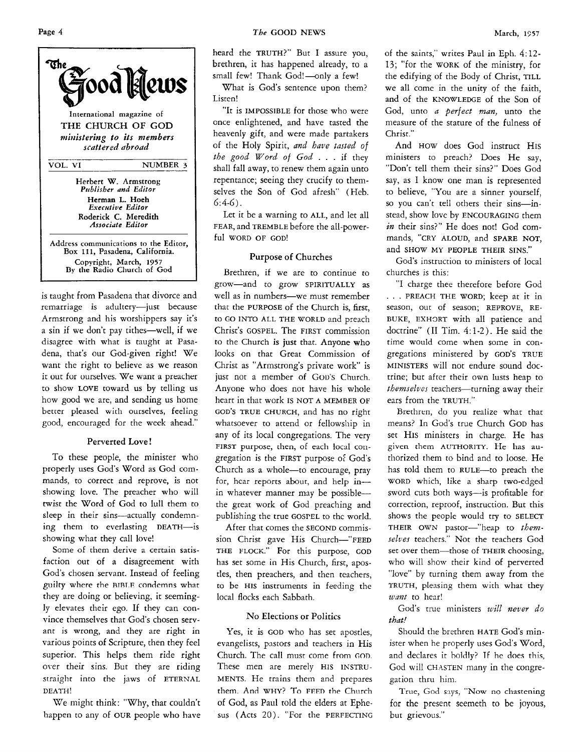

is taught from Pasadena that divorce and remarriage is adultery-just because Armstrong and his worshippers say it's a sin if we don't pay tithes-well, if we disagree with what is taught at Pasadena, that's our God-given right! We want the right to believe as we reason it out for ourselves. We want a preacher to show LOVE toward us by telling us how good we are, and sending us home better pleased with ourselves, feeling good, encouraged for the week ahead."

### Perverted Love !

To these people, the minister who properly uses God's Word as God commands, to correct and reprove, is not showing love. The preacher who will twist the Word of God to lull them to sleep in their sins-actually condemning them to everlasting DEATH-is showing what they call love!

Some of them derive a certain satisfaction out of a disagreement with God's chosen servant. Instead of feeling guilty where the **RTRT.F** condemns what they are doing or believing, it seemingly elevates their ego. If they can convince themselves that God's chosen servant is wrong, and they are right in various points of Scripture, then they feel superior. This helps them ride right over their sins. But they are riding straight into the jaws of ETERNAL DEATH!

We might think: "Why, that couldn't happen to any of OUR people who have

heard the TRUTH?" But I assure you, brethren, it has happened already, to a small few! Thank God!-only a few!

What is God's sentence upon them? Listen!

"It is IMPOSSIBLE for those who were once enlightened, and have tasted the heavenly gift, and were made partakers of the Holy Spirit, *and have tasted of the good Word of God* . . . if they shall fall away, to renew them again unto repentance; seeing they crucify to themselves the Son of God afresh" (Heb. *6:4-6).* 

Let it be a warning to ALL, and let all FEAR, and TREMBLE before the all-powerful WORD OF GOD!

# Purpose of Churches

Brethren, if we are to continue to grow-and to grow SPIRITUALLY as well as in numbers--we must remember that the PURPOSE of the Church is, first, to GO INTO ALL THE WORLD and preach Christ's GOSPEL. The FIRST commission to the Church **is** just that. Anyone **who**  looks on that Great Commission of Christ as "Armstrong's private work' is jusr not a member of Gou's Church. Anyone who does not have his whole heart in that work Is NOT A MEMBER OF **GOD'S** TRUE CHURCH, and has no right whatsoever to attend or fellowship in any of its local congregations. The very FIRST purpose, then, of each local congregation is the FIRST purpose of God's Church as a whole-to encourage, pray for, hcar reports about, and help inin whatever manner may be possiblethe great work of God preaching and publishing the true **GOSPEL** to thc world.

After that comes the SECOND commission Christ gave His Church-"FEED THE FLOCK." For this purpose, COD has set some in His Church, first, apostles, then preachers, and then teachers, to be HIS instruments in feeding the local flocks each Sabbath.

# No Elections or Politics

Yes, it is GOD who has set apostles, evangelists, pastors and teachers in His Church. The call must come from **GOD.**  These men are merely HIS INSTRU-MENTS. He trains them and prepares them. And WHY? To **FFFn** the Church of God, as Paul told the elders at Ephesus (Acts 20). "For the PERFECTING of the saints," writes Paul in Eph. *4:12-*  13; "for the WORK of the ministry, for the edifying of the Body of Christ, TILL we all come in the unity of the faith, and of the KNOWLEDGE of the Son of God, unto *a perfect man,* unto the measure of the stature of the fulness of Christ."

And HOW does God instruct HIS ministers to preach? Does He say, "Don't tell them their sins?" Does God say, as I know one man is represented to believe, "You are a sinner yourself, so you can't tell others their sins-instead, show love by ENCOURAGING them in their sins?" He does not! God commands, "CRY ALOUD, and SPARE NOT, and SHOW MY PEOPLE THEIR SINS."

God's instruction to ministers of local churches is this:

"I charge thee therefore before God . . . PREACH THE WORD; keep at it in season, out of season; REPROVE, RE-BUKE, EXHORT with all patience and doctrine" **(I1** Tim. *4:* 1-2). He said the time would come when some in congregations ministered by GOD'S TRUE MINISTERS will not endure sound doctrine; but after their own lusts heap to *themselves* teachers—turning away their ears from the TRUTH."

Brethren, do you realize what that means? In God's true Church GOD has set HIS ministers in charge. He has given them AUTHORITY. He **has** authorized them to bind and to loose. He has told them to RULE-to preach the WORD which, like a sharp two-cdged sword cuts both ways-is profitable for correction, reproof, instruction. But this shows the people would try to SELECT THEIR OWN pastor-"heap to them*selves* teachers." Not the teachers God set over them-those of THEIR choosing, who will show their kind of perverted "love" by turning them away from the TRUTH, pleasing them with what they *want* to hear!

God's true ministers *will never do that!* 

Should the brethren HATE God's minister when he properly uses God's Word, and declares it boldly' If he does this, God will CHASTEN many in the congregation thru him.

for the present seemeth to be joyous, but grievous." True, God says, "Now no chastening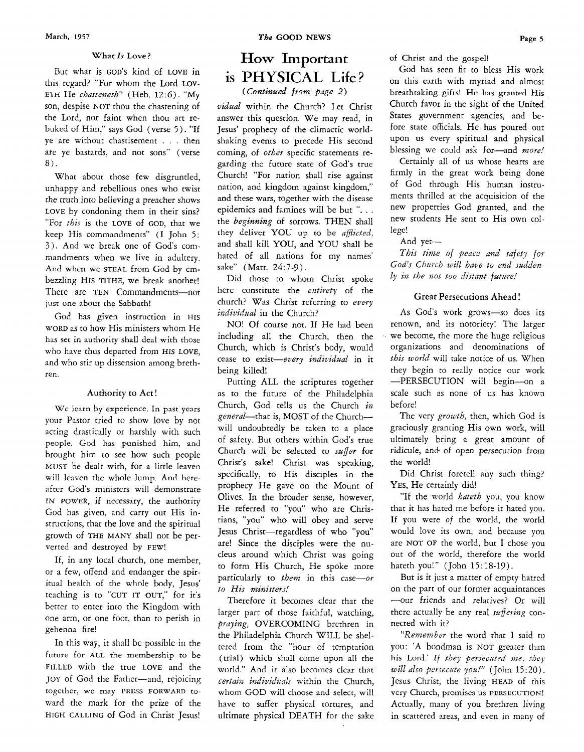#### What *Is* **Love?**

But what is GOD'S kind of LOVE in this regard? "For whom the Lord LOV-ETH He *chasteneth*" (Heb. 12:6). "My son, despise NOT thou the chastening of the Lord, nor faint when thou art rebuked of Hirn," says God (verse *5* ). "If ye are without chastisement . . . then are ye bastards, and not sons" (verse *8).* 

What about those few disgruntled, unhappy and rebellious ones who twist the truch inw believing **a** preacher shows LOVE by condoning them in their sins? "For *this* is the LOVE of GOD, that we keep His commandments" (I John *5: 3).* And we break one of God's commandments when we live in adultery. And whcn wc STEAL from God by cmbezzling HIS TITHE, we break another! There are TEN Commandments-not just one about the Sabbath!

God has given instruction in HIS WORD **as** to how His ministers whom He has set in authority shall deal with those who have thus departed from HIS LOVE, and who stir up dissension among brethren.

#### Authority to Act!

We learn by experience. In past years your Pastor tried to show love by not acting drastically or harshly with such people. God has punished him, and brought him to see how such people MUST be dealt with, for a little leaven will leaven the whole lump. And hereafter God's ministers will demonstrate IN POWER, if necessary, the authority God has given, and carry out His instructions, that the love and the spiritual growth of THE MANY shall not be perverted and destroyed by FEW!

If, in any local church, one member, or a few, offend and endanger the spiritual health of the whole body, Jesus' teaching is to "CUT IT OUT," for it's better to enter into the Kingdom with one arm, or one foot, than to perish in gehenna fire!

In this way, it shall be possible in the future for ALL the membership to be FILLED with the true LOVE and the JOY of God the Father-and, rejoicing together, wc may **PRESS FORWARD** toward the mark for the prize of the HIGH CALLING of God in Christ Jesus!

# **How** Important is PHYSICAL Life?

( *Continued from page 2)* 

vidual within the Church? Let Christ answer this question. We may read, in Jesus' prophecy of the climactic worldshaking events to precede His second coming, of other specific statements regarding thc future state of God's true Church! "For nation shall rise against nation, and kingdom against kingdom," and these wars, together with the disease epidemics and famines will be but "... the beginning of sorrows. THEN shall they deliver YOU **up** to be aflicted, and shall kill YOU, and YOU shall be hated of all nations for my names' sake" (Matt. 24:7-9).

Did those to whom Christ spoke here constitute the entirety of the church? Was Christ referring to every individual in the Church?

NO! Of course not. If He had been including all the Church, then the Church, which is Christ's body, would cease to exist-every individual in it being killed!

Putting ALL the scriptures together as to the future of the Philadelphia Church, God tells us the Church *in*  general-that is, MOST of the Church-will undoubtedly be taken to a place of safety. But others within God's true Church will be selected to suffer for Christ's sake! Christ was speaking, specifically, to His disciples in the prophecy He gave on the Mount of Olives. In the broader sense, however, He referred to "you" who are Christians, "you" who will obey and serve Jesus Christ-regardless of who "you" are! Since the disciples were the nucleus around which Christ was going to form His Church, He spoke more particularly to them in this case-or *to* His ministers!

Therefore it becomes clear that the larger part of those faithful, watching, praying, OVERCOMING brethren in the Philadelphia Church WILL be sheltered from the "hour of temptation (trial) which shall come upon all the world." And it also becomes clear that certain individuals within the Church, whom GOD will choose and select, will have to suffer physical tortures, and ultimate physical DEATH for the sake of Christ and the gospel!

God has seen fit to bless His work on this earth with myriad and almost breathtaking gifts! He has granted His Church favor in the sight of the United States government agencies, and before state officials. He has poured out upon us every spiritual and physical blessing we could ask for-and more!

Certainly all of us whose hearts are firmly in the great work being done of God through His human instruments thrilled at the acquisition of the new properties God granted, and the new students He sent to His own college!

And yet-

This time of peace and safety *for God's Church* will have *to* end sudden*ly* in *the* not *too* distant future!

#### **Great** Persecutions Ahead !

As God's work grows-so does its renown, and its notoriety! The larger we become, the more the huge religious organizations and denominations of this world will take notice of us. When they begin to really notice our work -PERSECUTION will begin-on a scale such as none of us has known before!

The very growth, then, which God is graciously granting His own work, will ultimately bring a great amount of ridicule, and of open persecution from the world!

Did Christ foretell any such thing? **YES,** He certainly did!

"If the world *hateth* you, you know that it has hated me before it hated you. If you were of the world, the world would love its own, and because you are NOT OF the world, but I chose you out of the world, therefore the world hateth you!" (John 15:18-19).

But is it just a matter of empty hatred on the part of our former acquaintances ---our friends and relatives? Or will there actually be any real *suffering* connected with it?

"Remember the word that I said to you: **'A** bondman is NOT greater than his Lord.' If they persecuted me, they *will* also *persecute* you!" (John 15:20). Jesus Christ, the living HEAD of this vcry Church, promiscs us PERSECUTION! Actually, many of you brethren living in scattered areas, and even in many of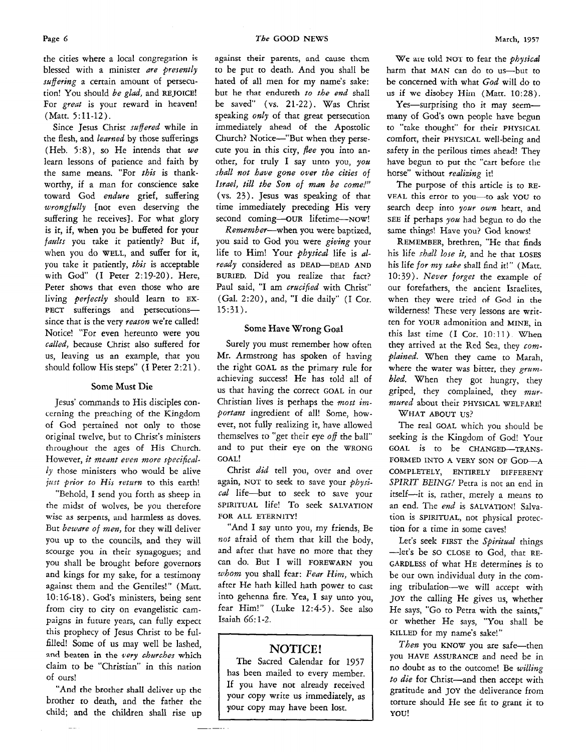the cities where a local congregation is blessed with a minister are presently suffering a certain amount of persecution! *You* should be glad, and **REJOICE!**  For great is your reward in heaven! (Matt. 5:11-12).

Since Jesus Christ suffered while in the flesh, and learned by those sufferings (Heb. **5:8),** so He intends that we learn lessons of patience and faith by the same means. "For this is thankworthy, if a man for conscience sake toward God endure grief, suffering wrongfully [not even deserving the suffering he receives}. For what glory is it, if, when you be buffeted for your faults you take it patiently? But if, when you do **WELL,** and suffer for it, you take it patiently, this is acceptable with God" (I Peter 2:19-20). Here, Peter shows that even those who are living perfectly should learn to EX-PECT sufferings and persecutionssince that is the very reason we're called! Notice! "For even hereunto were you called, because Christ also suffered for us, leaving us an example, that you should follow His steps" (I Peter 2:21).

#### **Some Must Die**

Jesus' commands to His disciples concerning the preaching of the Kingdom of God pertained not only to those original twelve, but to Christ's ministers throughout the ages of His Church. However, *it* meant *even* more specifical $ly$  those ministers who would be alive *just prior to His return* to this earth!

"Behold, I send you forth as sheep in the midst of wolves, be you therefore wise as serpents, and harmless as doves. But beware of men, for they will deliver you up to the councils, and they will scourge you in their synagogues; and you shall be brought before governors and kings for my sake, for a testimony against them and the Gentiles!" *(Matt.*  10: 16-18). God's ministers, being sent from city to city on evangelistic campaigns in future years, can fully expect this prophecy of Jesus Christ to be fulfilled! Some of us may well be lashed, and beaten in the very churches which claim to be "Christian" in this nation of ours!

"And **the** brother shall deliver up the brother to death, and the father the child; and the children shall rise up against their parents, **and cause** thcm to be put to death. And you shall be hated of all men for my name's sake: but he that endureth *to the end* shall be saved" (vs. 21-22). Was Christ speaking only of that great persecution immediately ahead of the Apostolic Church? Notice-"But when they persecute you in this city, flee you into another, for truly I say unto you, you shall *not* have *gone* over *the* cities of Israel, till the *Son* of *man be* come!" (vs. 23). Jesus was speaking of that time immediately preceding His very second coming-our lifetime--NOW!

Remember-when you were baptized, you said to *God* you were giving your life to Him! Your *physical* life is already considered as **DEAD-DEAD AND BURIED.** Did you realize that fact? Paul said, "I am crucified with Christ" (Gal. 2:20), and, "I die daily" (I Cor. 15:31).

#### Some Have Wrong Goal

Surely you must remember how often Mr. Armstrong has spoken of having the right **GOAL** as the primary rule for achieving success! He has told all of us that having the correct **GOAL** in our Christian lives is perhaps the *most im*portant ingredient of all! Some, however, not fully realizing it, have allowed themselves to "get their eye off the ball" and to put their eye on the **WRONG GOAL!** 

Christ did tell you, over and over again, NOT to seek to save your  $physi$ cal life---but to seek to save your **SPIRITUAL** life! To seek **SALVATION FOR ALL ETERNITY!** 

"And I say unto you, my friends, Be *not* afraid of them that kill the body, and after that have no more that they can do. But I will **FOREWARN** you whom you shall fear: Fear *Him,* which after He hath killed hath power to cast into gehenna fire. Yea, **1** say unto **YOU,**  fear Him!" (Luke 12:4-5). See also Isaiah 66: 1-2.

# **NOTICE!**

The Sacred Calendar for 1957 has been mailed to every member. If you have not already received your copy write us immediately, as your copy may have been lost.

**We air** told **NOT** to fear the physical harm that MAN can do to us-but to be concerned with what God will do to us **if** we disobey **Hhn** (Mart. **10:28).** 

Yes-surprising tho it may seemmany of God's own people have begun to "take thought" for their **PHYSICAL**  comfort, their **PHYSICAL** well-being and safety in the perilous times ahead! They have begun to put thc "cart before the horse" without realizing it!

The purpose of this article is to **RE-VEAL** this error to you-to ask **YOU** to search deep into your own heart, and **SEE** if perhaps you had begun to do the Same things! Have you? God knows!

**REMEMBER,** brethren, "He that finds his life shall lose *it,* and he that **LOSES**  his life for my sake shall find it!" (Matt. 10:39). Never forget the example of our forefathers, the ancient Israelites, when they were tried of God **in** the wilderness! These very lessons are written for **YOUR** admonition and **MINE,** in this last time **(I** Cor. 1O:ll) When they arrived at the Red Sea, they *com*plained. When they came to Marah, where the water was bitter, they *gram*bled. When they got hungry, they griped, they complained, they  $mvr$ mwed about their **PHYSICAL WELFARE!** 

**WHAT ABOUT US?** 

The real **GOAL** which you should be seeking is the Kingdom of God! Your GOAL is to be CHANGED-TRANS-FORMED INTO **A VERY** SON **OF GOD-A COMPLETELY, ENTIRELY DIFFERENT**  *SPIRlT BEING!* Petra is not an end in itself-it is, rather, merely a means to an end. The end is **SALVATION!** Salvation is **SPIRITUAL,** not physical protection for a time in some caves!

Let's seek FIRST the Spiritual things -let's be so **CLOSE** to God, that **RE-GARDLESS** of what **HE** determines is to be our own individual duty in the coming tribulation-we will accept with **JOY** the calling He gives us, whether He says, "Go to Petra with the saints," or whether He says, "You shall be **KILLED** for my name's sake!"

Then you **KNOW** you are safe-then you **HAVE ASSURANCE** and need be in no doubt as to the outcome! Be willing *to die* for Christ-and then accept with gratitude and JOY the deliverance from torture should He see fit to grant it to **YOU!**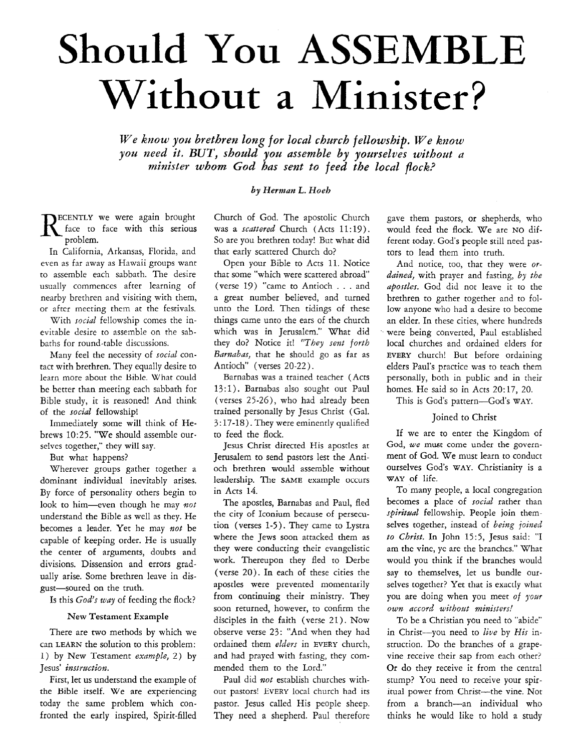# Should **You ASSEMBLE**  Without **a Minister?**

*We know you brethren long for local church fellowship. We know you need it. BUT, should you assemble by yourselves without a minister whom God has sent to feed the local pock?* 

#### *by Herman L. Hoeh*

**ECENTLY** we were again brought face to face with this serious problem.

In California, Arkansas, Florida, and even as far away as Hawaii groups want to assemble each sabbath. The desire usually commences after learning of nearby brethren and visiting with them, or after meeting them at the festivals.

With *social* fellowship comes the inevitable desire to assemble on the sabbaths for round-table discussions.

Many feel the necessity of *social* contact with brethren. They equally desire to learn more about the Bible. What could be better than meeting each sabbath for Bible study, it is reasoned! And think of the *social* fellowship!

Immediately some will think of Hebrews 10:25. "We should assemble ourselves together," they will say.

But what happens?

Wherever groups gather together a dominant individual inevitably arises. By force of personality others begin to look to him-even though he may *not* understand the Bible as well as they. He becomes a leader. Yet he may *not* be capable of keeping order. He is usually the center of arguments, doubts and divisions. Dissension and errors gradually arise. Some brethren leave in disgust-soured on the truth.

Is this *God's way* of feeding the flock?

#### New Testament **Example**

There are two methods by which we can **LEARN** the solution to this problem: 1) by New Testament *example,* 2) by Jesus' *instruction.* 

First, let us understand the example of the Bible itself. We are experiencing today the same problem which confronted the early inspired, Spirit-filled

Church of God. The apostolic Church was **a** *scattered* Church (Acts 11: 19). So are you brethren today! But what did that early scattered Church do?

Open your Bible to Acts 11. Notice that some "which were scattered abroad' (verse 19) "came to Antioch . . . and a great number believed, and turned unto the Lord. Then tidings of these things came unto the ears of the church which was in Jerusalem." What did they do? Notice it! *"They sent forth Barnabas,* that he should go as far as Antioch" (verses 20-22).

Barnabas was a trained teacher (Acts 13:l). Barnabas also sought out Paul (verses 25-26), who had already been trained personally by Jesus Christ (Gal. 3: 17-18). They were eminently qualified to feed the flock.

Jesus Christ directed His apostles at Jerusalem to send pastors lest the Antioch brethren would assemble without leadership. The SAME example occurs in Acts *14.* 

The apostles, Barnabas and Paul, fled the city of Iconium because of persecution (verses 1-5). They came to Lystra where the Jews soon attacked them as they were conducting their evangelistic work. Thereupon they fled to Derbe (verse 20). In each of these cities the apostles were prevented momentarily from continuing their ministry. They soon returned, however, to confirm the disciples in the faith (verse 21). Now observe verse 23: "And when they had ordained them *elders* in EVERY church, and had prayed with fasting, they commended them to the Lord."

Paul did *not* establish churches without pastors! EVERY local church had its pastor. Jesus called His people sheep. They need a shepherd. Paul therefore gave them pastors, or shepherds, who would feed the flock. We are **NO** different today. God's people still need pastors to lead them into truth.

And notice, too, that they were *ordained,* with prayer and fasting, *by the apostles.* God did not leave it to the brethren to gather together and to follow anyone who had a desire to become an elder. In these cities, where hundreds were being converted, Paul established local churches and ordained elders for **EVERY** church! But before ordaining elders Paul's practice was to teach them personally, both in public and in their homes. He said so in Acts 20:17, 20.

This is God's pattern-God's WAY.

#### Joined to Christ

If we are to enter the Kingdom of God, we must come under the government of God. We must learn to conduct ourselves God's WAY. Christianity is a **WAY** of life.

To many people, a local congregation becomes a place of *social* rather than spiritual fellowship. People join themselves together, instead of *being joined to Christ.* In John 15:5, Jesus said: "I am the vine, yc are the branchcs." What would you think if the branches would say to themselves, let us bundle ourselves together? Yet that is exactly what you are doing when you meet of *your own accord without ministers!* 

TO be a Christian you need to "abide" in Christ-you need to *live* by *His* instruction. Do the branches of a grapevine receive their sap from each other? Or do they receive it from the central stump? You need to receive your spiritual power from Christ-the vine. Not from a branch-an individual who thinks he would like to hold a study